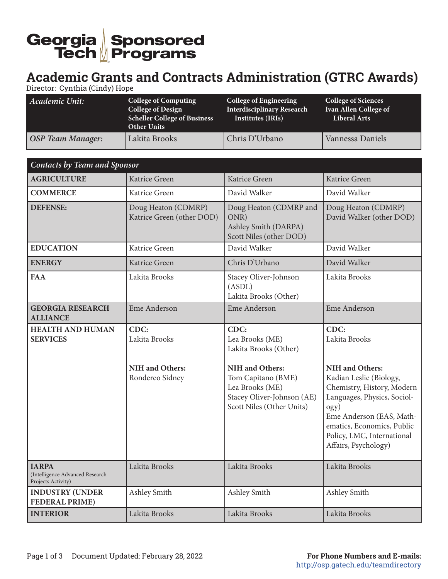## Georgia Sponsored<br>Tech Programs

## **Academic Grants and Contracts Administration (GTRC Awards)**

Director: Cynthia (Cindy) Hope

| Academic Unit:           | <b>College of Computing</b><br>College of Design<br><b>Scheller College of Business</b><br><b>Other Units</b> | <b>College of Engineering</b><br><b>Interdisciplinary Research</b><br>Institutes (IRIs) | <b>College of Sciences</b><br>Ivan Allen College of<br>Liberal Arts |
|--------------------------|---------------------------------------------------------------------------------------------------------------|-----------------------------------------------------------------------------------------|---------------------------------------------------------------------|
| <b>OSP Team Manager:</b> | Lakita Brooks                                                                                                 | Chris D'Urbano                                                                          | Vannessa Daniels                                                    |

| <b>Contacts by Team and Sponsor</b>                                   |                                                             |                                                                                                                                                                                |                                                                                                                                                                                                                                                                       |
|-----------------------------------------------------------------------|-------------------------------------------------------------|--------------------------------------------------------------------------------------------------------------------------------------------------------------------------------|-----------------------------------------------------------------------------------------------------------------------------------------------------------------------------------------------------------------------------------------------------------------------|
| <b>AGRICULTURE</b>                                                    | Katrice Green                                               | Katrice Green                                                                                                                                                                  | Katrice Green                                                                                                                                                                                                                                                         |
| <b>COMMERCE</b>                                                       | Katrice Green                                               | David Walker                                                                                                                                                                   | David Walker                                                                                                                                                                                                                                                          |
| <b>DEFENSE:</b>                                                       | Doug Heaton (CDMRP)<br>Katrice Green (other DOD)            | Doug Heaton (CDMRP and<br>ONR)<br>Ashley Smith (DARPA)<br>Scott Niles (other DOD)                                                                                              | Doug Heaton (CDMRP)<br>David Walker (other DOD)                                                                                                                                                                                                                       |
| <b>EDUCATION</b>                                                      | Katrice Green                                               | David Walker                                                                                                                                                                   | David Walker                                                                                                                                                                                                                                                          |
| <b>ENERGY</b>                                                         | Katrice Green                                               | Chris D'Urbano                                                                                                                                                                 | David Walker                                                                                                                                                                                                                                                          |
| <b>FAA</b>                                                            | Lakita Brooks                                               | Stacey Oliver-Johnson<br>(ASDL)<br>Lakita Brooks (Other)                                                                                                                       | Lakita Brooks                                                                                                                                                                                                                                                         |
| <b>GEORGIA RESEARCH</b><br><b>ALLIANCE</b>                            | <b>Eme Anderson</b>                                         | Eme Anderson                                                                                                                                                                   | Eme Anderson                                                                                                                                                                                                                                                          |
| <b>HEALTH AND HUMAN</b><br><b>SERVICES</b>                            | CDC:<br>Lakita Brooks<br>NIH and Others:<br>Rondereo Sidney | CDC:<br>Lea Brooks (ME)<br>Lakita Brooks (Other)<br><b>NIH</b> and Others:<br>Tom Capitano (BME)<br>Lea Brooks (ME)<br>Stacey Oliver-Johnson (AE)<br>Scott Niles (Other Units) | CDC:<br>Lakita Brooks<br><b>NIH</b> and Others:<br>Kadian Leslie (Biology,<br>Chemistry, History, Modern<br>Languages, Physics, Sociol-<br>$\log y$ )<br>Eme Anderson (EAS, Math-<br>ematics, Economics, Public<br>Policy, LMC, International<br>Affairs, Psychology) |
| <b>IARPA</b><br>(Intelligence Advanced Research<br>Projects Activity) | Lakita Brooks                                               | Lakita Brooks                                                                                                                                                                  | Lakita Brooks                                                                                                                                                                                                                                                         |
| <b>INDUSTRY (UNDER</b><br><b>FEDERAL PRIME)</b>                       | Ashley Smith                                                | Ashley Smith                                                                                                                                                                   | Ashley Smith                                                                                                                                                                                                                                                          |
| <b>INTERIOR</b>                                                       | Lakita Brooks                                               | Lakita Brooks                                                                                                                                                                  | Lakita Brooks                                                                                                                                                                                                                                                         |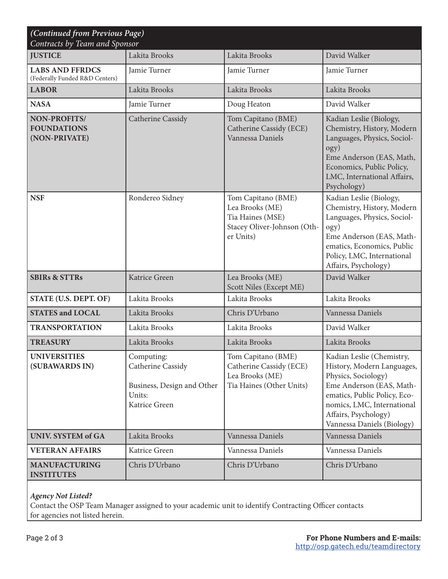| (Continued from Previous Page)<br>Contracts by Team and Sponsor |                                                                                          |                                                                                                       |                                                                                                                                                                                                                                |  |
|-----------------------------------------------------------------|------------------------------------------------------------------------------------------|-------------------------------------------------------------------------------------------------------|--------------------------------------------------------------------------------------------------------------------------------------------------------------------------------------------------------------------------------|--|
| <b>JUSTICE</b>                                                  | Lakita Brooks                                                                            | Lakita Brooks                                                                                         | David Walker                                                                                                                                                                                                                   |  |
| <b>LABS AND FFRDCS</b><br>(Federally Funded R&D Centers)        | Jamie Turner                                                                             | Jamie Turner                                                                                          | Jamie Turner                                                                                                                                                                                                                   |  |
| <b>LABOR</b>                                                    | Lakita Brooks                                                                            | Lakita Brooks                                                                                         | Lakita Brooks                                                                                                                                                                                                                  |  |
| <b>NASA</b>                                                     | Jamie Turner                                                                             | Doug Heaton                                                                                           | David Walker                                                                                                                                                                                                                   |  |
| NON-PROFITS/<br><b>FOUNDATIONS</b><br>(NON-PRIVATE)             | Catherine Cassidy                                                                        | Tom Capitano (BME)<br>Catherine Cassidy (ECE)<br>Vannessa Daniels                                     | Kadian Leslie (Biology,<br>Chemistry, History, Modern<br>Languages, Physics, Sociol-<br>ogy)<br>Eme Anderson (EAS, Math,<br>Economics, Public Policy,<br>LMC, International Affairs,<br>Psychology)                            |  |
| <b>NSF</b>                                                      | Rondereo Sidney                                                                          | Tom Capitano (BME)<br>Lea Brooks (ME)<br>Tia Haines (MSE)<br>Stacey Oliver-Johnson (Oth-<br>er Units) | Kadian Leslie (Biology,<br>Chemistry, History, Modern<br>Languages, Physics, Sociol-<br>$\text{ogy}$ )<br>Eme Anderson (EAS, Math-<br>ematics, Economics, Public<br>Policy, LMC, International<br>Affairs, Psychology)         |  |
| <b>SBIRs &amp; STTRs</b>                                        | Katrice Green                                                                            | Lea Brooks (ME)<br>Scott Niles (Except ME)                                                            | David Walker                                                                                                                                                                                                                   |  |
| STATE (U.S. DEPT. OF)                                           | Lakita Brooks                                                                            | Lakita Brooks                                                                                         | Lakita Brooks                                                                                                                                                                                                                  |  |
| <b>STATES and LOCAL</b>                                         | Lakita Brooks                                                                            | Chris D'Urbano                                                                                        | Vannessa Daniels                                                                                                                                                                                                               |  |
| <b>TRANSPORTATION</b>                                           | Lakita Brooks                                                                            | Lakita Brooks                                                                                         | David Walker                                                                                                                                                                                                                   |  |
| <b>TREASURY</b>                                                 | Lakita Brooks                                                                            | Lakita Brooks                                                                                         | Lakita Brooks                                                                                                                                                                                                                  |  |
| <b>UNIVERSITIES</b><br>(SUBAWARDS IN)                           | Computing:<br>Catherine Cassidy<br>Business, Design and Other<br>Units:<br>Katrice Green | Tom Capitano (BME)<br>Catherine Cassidy (ECE)<br>Lea Brooks (ME)<br>Tia Haines (Other Units)          | Kadian Leslie (Chemistry,<br>History, Modern Languages,<br>Physics, Sociology)<br>Eme Anderson (EAS, Math-<br>ematics, Public Policy, Eco-<br>nomics, LMC, International<br>Affairs, Psychology)<br>Vannessa Daniels (Biology) |  |
| <b>UNIV. SYSTEM of GA</b>                                       | Lakita Brooks                                                                            | Vannessa Daniels                                                                                      | Vannessa Daniels                                                                                                                                                                                                               |  |
| <b>VETERAN AFFAIRS</b>                                          | Katrice Green                                                                            | Vannessa Daniels                                                                                      | Vannessa Daniels                                                                                                                                                                                                               |  |
| <b>MANUFACTURING</b><br><b>INSTITUTES</b>                       | Chris D'Urbano                                                                           | Chris D'Urbano                                                                                        | Chris D'Urbano                                                                                                                                                                                                                 |  |

## *Agency Not Listed?*

Contact the OSP Team Manager assigned to your academic unit to identify Contracting Officer contacts for agencies not listed herein.